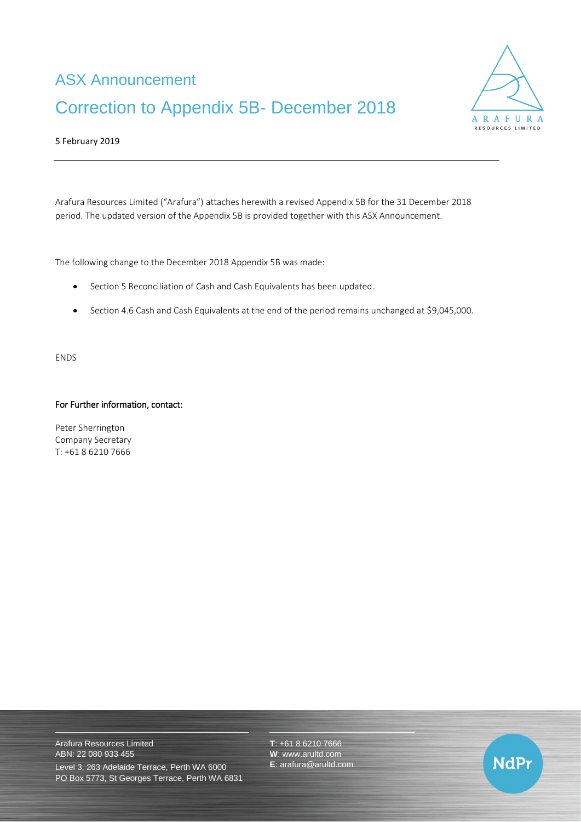# ASX Announcement Correction to Appendix 5B- December 2018



### 5 February 2019

Arafura Resources Limited ("Arafura") attaches herewith a revised Appendix 5B for the 31 December 2018 period. The updated version of the Appendix 5B is provided together with this ASX Announcement.

The following change to the December 2018 Appendix 5B was made:

- Section 5 Reconciliation of Cash and Cash Equivalents has been updated.
- Section 4.6 Cash and Cash Equivalents at the end of the period remains unchanged at \$9,045,000.

ENDS

#### For Further information, contact:

Peter Sherrington Company Secretary T: +61 8 6210 7666

Arafura Resources Limited ABN: 22 080 933 455

Level 3, 263 Adelaide Terrace, Perth WA 6000 PO Box 5773, St Georges Terrace, Perth WA 6831 **T**: +61 8 6210 7666 **W**: [www.arultd.com](http://www.arultd.com/) **E**: [arafura@arultd.com](mailto:arafura@arultd.com)

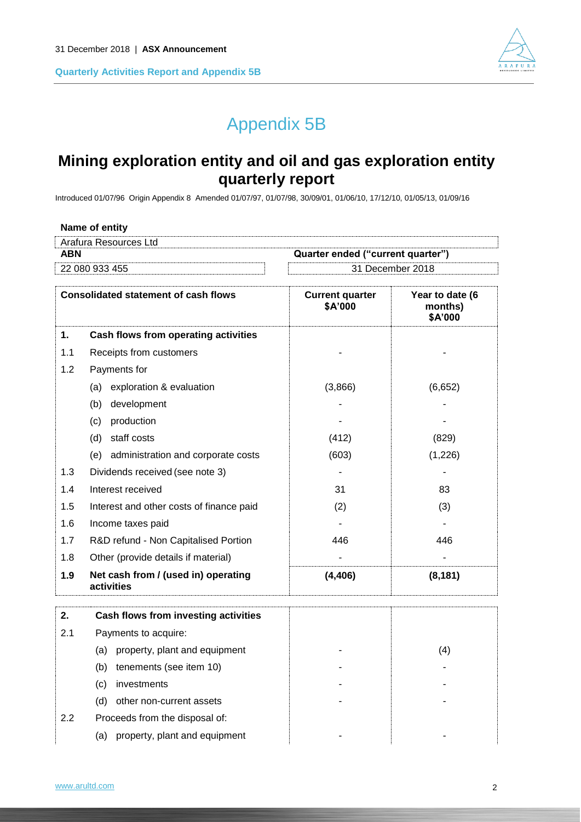

# Appendix 5B

# **Mining exploration entity and oil and gas exploration entity quarterly report**

Introduced 01/07/96 Origin Appendix 8 Amended 01/07/97, 01/07/98, 30/09/01, 01/06/10, 17/12/10, 01/05/13, 01/09/16

| Name of entity        |                                   |
|-----------------------|-----------------------------------|
| Arafura Resources Ltd |                                   |
| ABN                   | Quarter ended ("current quarter") |
| 22 080 933 455        | 31 December 2018                  |
|                       |                                   |

| <b>Consolidated statement of cash flows</b> |                                                   | <b>Current quarter</b><br>\$A'000 | Year to date (6<br>months)<br>\$A'000 |
|---------------------------------------------|---------------------------------------------------|-----------------------------------|---------------------------------------|
| 1.                                          | Cash flows from operating activities              |                                   |                                       |
| 1.1                                         | Receipts from customers                           |                                   |                                       |
| 1.2                                         | Payments for                                      |                                   |                                       |
|                                             | (a) exploration & evaluation                      | (3,866)                           | (6,652)                               |
|                                             | development<br>(b)                                |                                   |                                       |
|                                             | production<br>(c)                                 |                                   |                                       |
|                                             | staff costs<br>(d)                                | (412)                             | (829)                                 |
|                                             | (e) administration and corporate costs            | (603)                             | (1,226)                               |
| 1.3                                         | Dividends received (see note 3)                   |                                   |                                       |
| 1.4                                         | Interest received                                 | 31                                | 83                                    |
| 1.5                                         | Interest and other costs of finance paid          | (2)                               | (3)                                   |
| 1.6                                         | Income taxes paid                                 |                                   |                                       |
| 1.7                                         | R&D refund - Non Capitalised Portion              | 446                               | 446                                   |
| 1.8                                         | Other (provide details if material)               |                                   |                                       |
| 1.9                                         | Net cash from / (used in) operating<br>activities | (4, 406)                          | (8, 181)                              |
| 2.                                          | Cash flows from investing activities              |                                   |                                       |
| 2.1                                         | Payments to acquire:                              |                                   |                                       |
|                                             | (a) property, plant and equipment                 |                                   | (4)                                   |
|                                             | (b)<br>tenements (see item 10)                    |                                   |                                       |
|                                             | investments<br>(c)                                |                                   |                                       |
|                                             | (d)<br>other non-current assets                   |                                   |                                       |
| 2.2                                         | Proceeds from the disposal of:                    |                                   |                                       |
|                                             | (a) property, plant and equipment                 |                                   |                                       |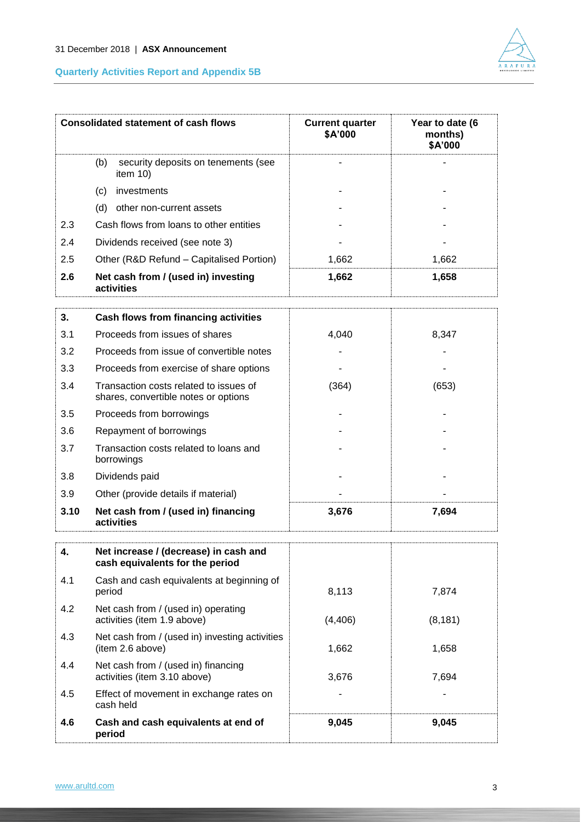

|     | <b>Consolidated statement of cash flows</b>               | <b>Current quarter</b><br>\$A'000 | Year to date (6<br>months)<br>\$A'000 |
|-----|-----------------------------------------------------------|-----------------------------------|---------------------------------------|
|     | (b)<br>security deposits on tenements (see<br>item $10$ ) |                                   |                                       |
|     | investments<br>(c)                                        |                                   |                                       |
|     | other non-current assets<br>(d)                           |                                   |                                       |
| 2.3 | Cash flows from loans to other entities                   |                                   |                                       |
| 2.4 | Dividends received (see note 3)                           |                                   |                                       |
| 2.5 | Other (R&D Refund – Capitalised Portion)                  | 1,662                             | 1,662                                 |
| 2.6 | Net cash from / (used in) investing<br>activities         | 1,662                             | 1,658                                 |

| 3.   | <b>Cash flows from financing activities</b>                                    |       |       |
|------|--------------------------------------------------------------------------------|-------|-------|
| 3.1  | Proceeds from issues of shares                                                 | 4,040 | 8,347 |
| 3.2  | Proceeds from issue of convertible notes                                       |       |       |
| 3.3  | Proceeds from exercise of share options                                        |       |       |
| 3.4  | Transaction costs related to issues of<br>shares, convertible notes or options | (364) | (653) |
| 3.5  | Proceeds from borrowings                                                       |       |       |
| 3.6  | Repayment of borrowings                                                        |       |       |
| 3.7  | Transaction costs related to loans and<br>borrowings                           |       |       |
| 3.8  | Dividends paid                                                                 |       |       |
| 3.9  | Other (provide details if material)                                            |       |       |
| 3.10 | Net cash from / (used in) financing<br>activities                              | 3,676 | 7,694 |

| 4.  | Net increase / (decrease) in cash and<br>cash equivalents for the period |          |          |
|-----|--------------------------------------------------------------------------|----------|----------|
| 4.1 | Cash and cash equivalents at beginning of<br>period                      | 8,113    | 7.874    |
| 4.2 | Net cash from / (used in) operating<br>activities (item 1.9 above)       | (4, 406) | (8, 181) |
| 4.3 | Net cash from / (used in) investing activities<br>(item 2.6 above)       | 1,662    | 1.658    |
| 4.4 | Net cash from / (used in) financing<br>activities (item 3.10 above)      | 3.676    | 7.694    |
| 4.5 | Effect of movement in exchange rates on<br>cash held                     |          |          |
| 4.6 | Cash and cash equivalents at end of<br>period                            | 9,045    | 9,045    |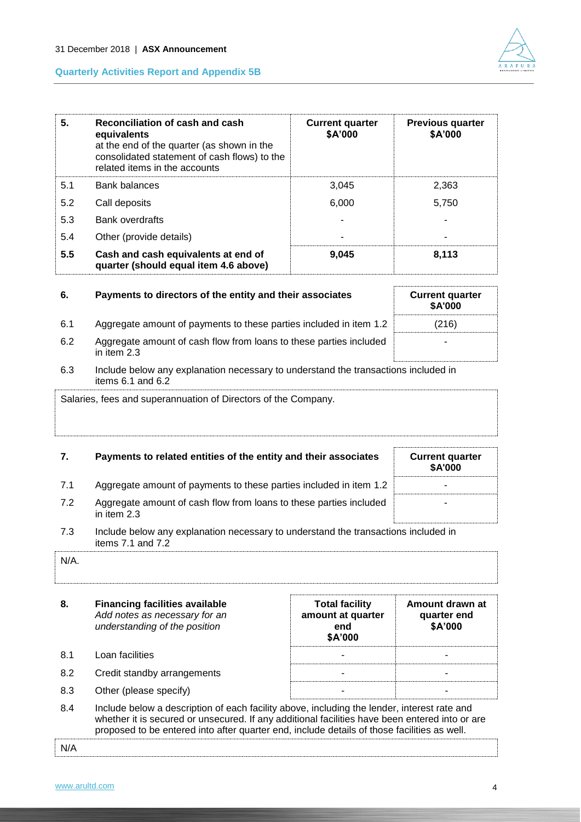| Reconciliation of cash and cash<br>5.<br>equivalents<br>at the end of the quarter (as shown in the<br>consolidated statement of cash flows) to the<br>related items in the accounts |                                                                              | <b>Current quarter</b><br>\$A'000 | <b>Previous quarter</b><br>\$A'000 |  |
|-------------------------------------------------------------------------------------------------------------------------------------------------------------------------------------|------------------------------------------------------------------------------|-----------------------------------|------------------------------------|--|
| 5.1                                                                                                                                                                                 | Bank balances                                                                | 3,045                             | 2,363                              |  |
| 5.2                                                                                                                                                                                 | Call deposits                                                                | 6.000                             | 5.750                              |  |
| 5.3                                                                                                                                                                                 | <b>Bank overdrafts</b>                                                       |                                   |                                    |  |
| 5.4                                                                                                                                                                                 | Other (provide details)                                                      |                                   |                                    |  |
| 5.5                                                                                                                                                                                 | Cash and cash equivalents at end of<br>quarter (should equal item 4.6 above) | 9.045                             | 8,113                              |  |

| 6.  | Payments to directors of the entity and their associates                          | <b>Current quarter</b><br><b>\$A'000</b> |
|-----|-----------------------------------------------------------------------------------|------------------------------------------|
| 6.1 | Aggregate amount of payments to these parties included in item 1.2                | (216)                                    |
| 6.2 | Aggregate amount of cash flow from loans to these parties included<br>in item 2.3 |                                          |

#### 6.3 Include below any explanation necessary to understand the transactions included in items 6.1 and 6.2

Salaries, fees and superannuation of Directors of the Company.

| 7.  | Payments to related entities of the entity and their associates                    | <b>Current quarter</b><br><b>\$A'000</b> |
|-----|------------------------------------------------------------------------------------|------------------------------------------|
| 7.1 | Aggregate amount of payments to these parties included in item 1.2                 | ۰                                        |
| 7.2 | Aggregate amount of cash flow from loans to these parties included<br>in item 2.3  | -                                        |
|     | Include below any explanation necessary to understand the transactions included in |                                          |

#### stand the transa<sup>.</sup> items 7.1 and 7.2

| $N/A$ . |  |
|---------|--|
|         |  |

- **8. Financing facilities available** *Add notes as necessary for an understanding of the position* **Total facility amount at quarter end \$A'000 Amount drawn at quarter end \$A'000** 8.1 Loan facilities 8.2 Credit standby arrangements and the standard standard control of the standard standard control of the standard standard standard standard standard standard standard standard standard standard standard standard standard 8.3 Other (please specify) and the set of the set of the set of the set of the set of the set of the set of the set of the set of the set of the set of the set of the set of the set of the set of the set of the set of the
- 8.4 Include below a description of each facility above, including the lender, interest rate and whether it is secured or unsecured. If any additional facilities have been entered into or are proposed to be entered into after quarter end, include details of those facilities as well.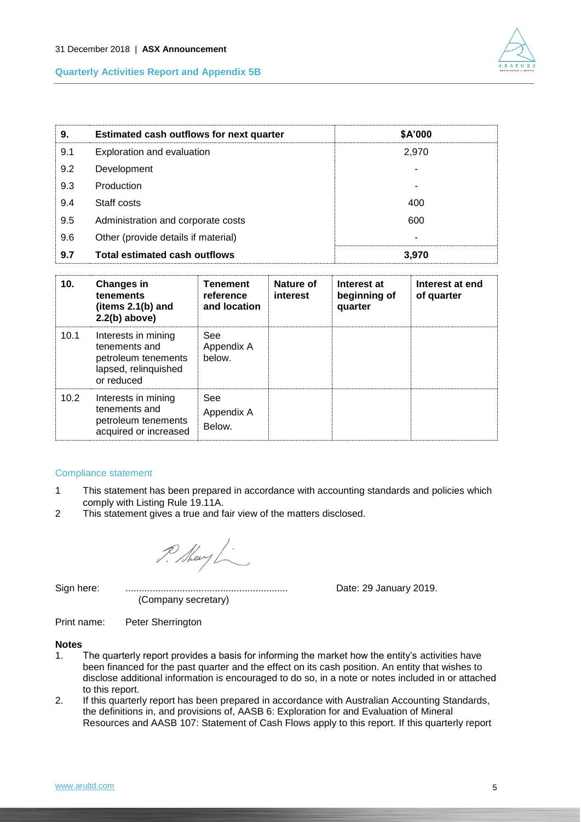

| 9.  | <b>Estimated cash outflows for next quarter</b> | \$A'000 |
|-----|-------------------------------------------------|---------|
| 9.1 | Exploration and evaluation                      | 2,970   |
| 9.2 | Development                                     |         |
| 9.3 | Production                                      |         |
| 9.4 | Staff costs                                     | 400     |
| 9.5 | Administration and corporate costs              | 600     |
| 9.6 | Other (provide details if material)             |         |
| 9.7 | <b>Total estimated cash outflows</b>            | 3.970   |

| 10.  | <b>Changes in</b><br>tenements<br>(items $2.1(b)$ and<br>$2.2(b)$ above)                          | <b>Tenement</b><br>reference<br>and location | Nature of<br>interest | Interest at<br>beginning of<br>quarter | Interest at end<br>of quarter |
|------|---------------------------------------------------------------------------------------------------|----------------------------------------------|-----------------------|----------------------------------------|-------------------------------|
| 10.1 | Interests in mining<br>tenements and<br>petroleum tenements<br>lapsed, relinquished<br>or reduced | See<br>Appendix A<br>below.                  |                       |                                        |                               |
| 10.2 | Interests in mining<br>tenements and<br>petroleum tenements<br>acquired or increased              | See<br>Appendix A<br>Below.                  |                       |                                        |                               |

#### Compliance statement

- 1 This statement has been prepared in accordance with accounting standards and policies which comply with Listing Rule 19.11A.
- 2 This statement gives a true and fair view of the matters disclosed.

P. Mary L.

(Company secretary)

Sign here: ............................................................ Date: 29 January 2019.

Print name: Peter Sherrington

#### **Notes**

- 1. The quarterly report provides a basis for informing the market how the entity's activities have been financed for the past quarter and the effect on its cash position. An entity that wishes to disclose additional information is encouraged to do so, in a note or notes included in or attached to this report.
- 2. If this quarterly report has been prepared in accordance with Australian Accounting Standards, the definitions in, and provisions of, AASB 6: Exploration for and Evaluation of Mineral Resources and AASB 107: Statement of Cash Flows apply to this report. If this quarterly report